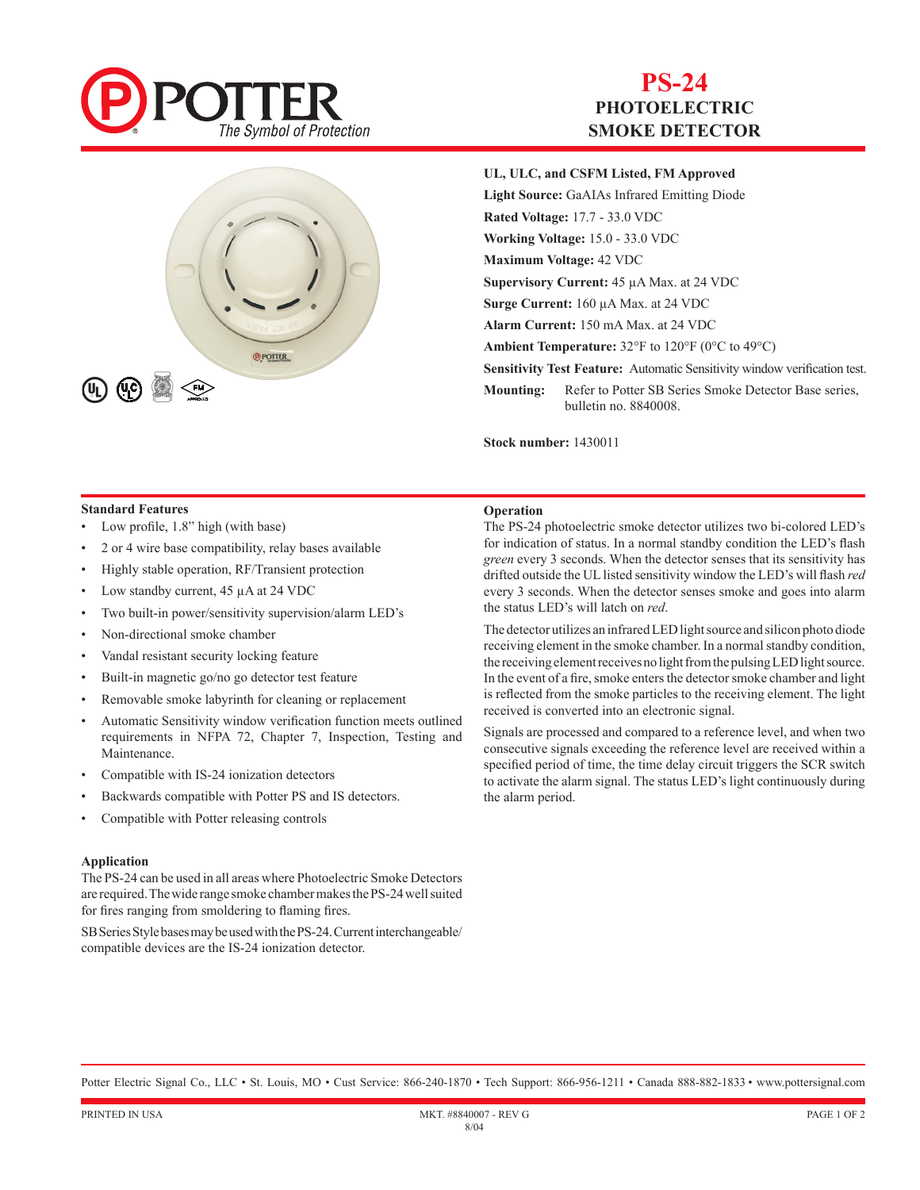

# **PS-24 PHOTOELECTRIC SMOKE DETECTOR**



# **UL, ULC, and CSFM Listed, FM Approved**

**Light Source:** GaAIAs Infrared Emitting Diode **Rated Voltage:** 17.7 - 33.0 VDC **Working Voltage:** 15.0 - 33.0 VDC **Maximum Voltage:** 42 VDC **Supervisory Current:** 45 µA Max. at 24 VDC **Surge Current:** 160 µA Max. at 24 VDC **Alarm Current:** 150 mA Max. at 24 VDC **Ambient Temperature:** 32°F to 120°F (0°C to 49°C) **Sensitivity Test Feature:** Automatic Sensitivity window verification test. **Mounting:** Refer to Potter SB Series Smoke Detector Base series, bulletin no. 8840008.

**Stock number:** 1430011

### **Standard Features**

- Low profile, 1.8" high (with base)
- 2 or 4 wire base compatibility, relay bases available
- Highly stable operation, RF/Transient protection
- Low standby current, 45 µA at 24 VDC
- Two built-in power/sensitivity supervision/alarm LED's
- Non-directional smoke chamber
- Vandal resistant security locking feature
- Built-in magnetic go/no go detector test feature
- Removable smoke labyrinth for cleaning or replacement
- Automatic Sensitivity window verification function meets outlined requirements in NFPA 72, Chapter 7, Inspection, Testing and Maintenance.
- Compatible with IS-24 ionization detectors
- Backwards compatible with Potter PS and IS detectors.
- Compatible with Potter releasing controls

#### **Application**

The PS-24 can be used in all areas where Photoelectric Smoke Detectors are required. The wide range smoke chamber makes the PS-24 well suited for fires ranging from smoldering to flaming fires.

SB Series Style bases may be used with the PS-24. Current interchangeable/ compatible devices are the IS-24 ionization detector.

### **Operation**

The PS-24 photoelectric smoke detector utilizes two bi-colored LED's for indication of status. In a normal standby condition the LED's flash *green* every 3 seconds. When the detector senses that its sensitivity has drifted outside the UL listed sensitivity window the LED's will flash *red*  every 3 seconds. When the detector senses smoke and goes into alarm the status LED's will latch on *red*.

The detector utilizes an infrared LED light source and silicon photo diode receiving element in the smoke chamber. In a normal standby condition, the receiving element receives no light from the pulsing LED light source. In the event of a fire, smoke enters the detector smoke chamber and light is reflected from the smoke particles to the receiving element. The light received is converted into an electronic signal.

Signals are processed and compared to a reference level, and when two consecutive signals exceeding the reference level are received within a specified period of time, the time delay circuit triggers the SCR switch to activate the alarm signal. The status LED's light continuously during the alarm period.

Potter Electric Signal Co., LLC • St. Louis, MO • Cust Service: 866-240-1870 • Tech Support: 866-956-1211 • Canada 888-882-1833 • www.pottersignal.com